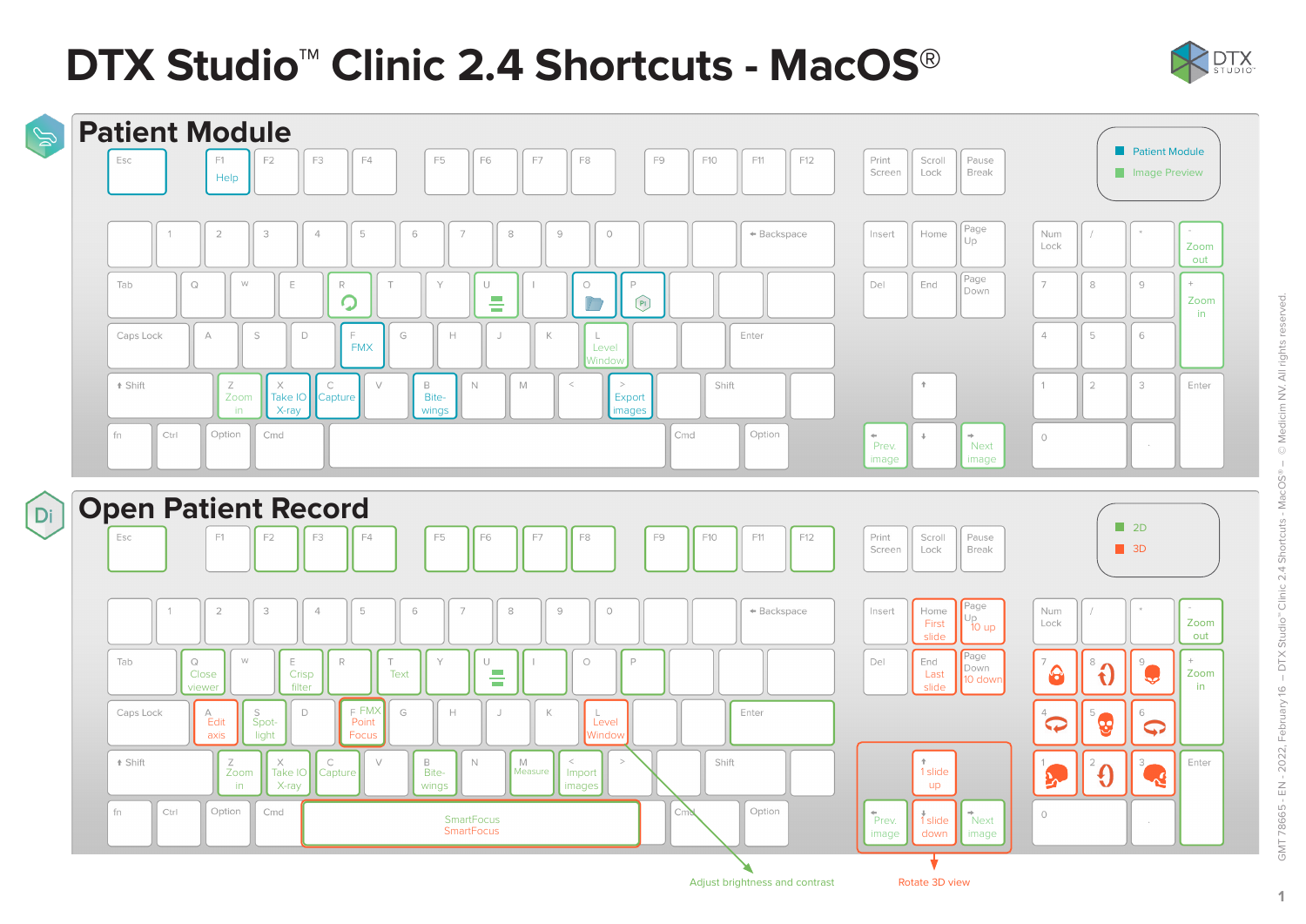# **DTX Studio™ Clinic 2.4 Shortcuts - MacOS**®